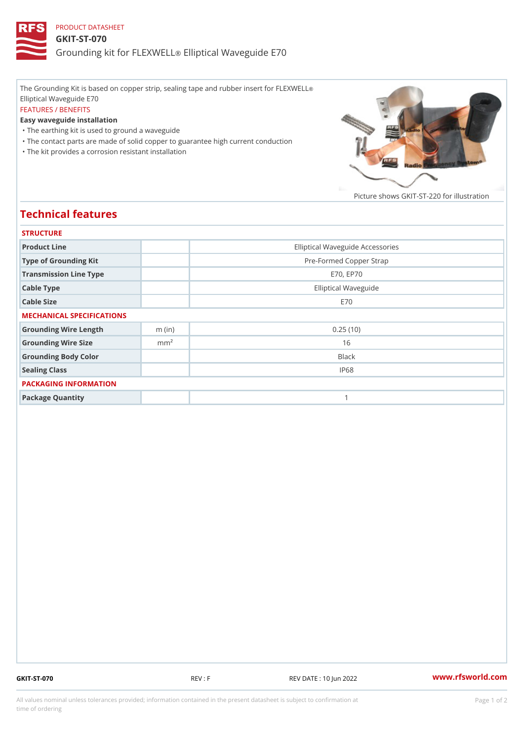## PRODUCT DATASHEET GKIT-ST-070 Grounding kit for **ELEIXIVE tal** Waveguide E70

The Grounding Kit is based on copper strip, sealing tape and rubber insert for FLEXWELL ® Elliptical Waveguide E70 FEATURES / BENEFITS Easy waveguide installation "The earthing kit is used to ground a waveguide "The contact parts are made of solid copper to guarantee high current conduction

"The kit provides a corrosion resistant installation

Picture shows  $GKIT-ST-220$  for ill

## Technical features

| <b>STRUCTURE</b>          |                  |                                  |
|---------------------------|------------------|----------------------------------|
| Product Line              |                  | Elliptical Waveguide Accessories |
| Type of Grounding Kit     |                  | Pre-Formed Copper Strap          |
| Transmission Line Type    |                  | E70, EP70                        |
| Cable Type                |                  | Elliptical Waveguide             |
| Cable Size                |                  | E 7 0                            |
| MECHANICAL SPECIFICATIONS |                  |                                  |
| Grounding Wire Length     | $m$ (in)         | 0.25(10)                         |
| Grounding Wire Size       | m m <sup>2</sup> | 16                               |
| Grounding Body Color      |                  | <b>Black</b>                     |
| Sealing Class             |                  | IP68                             |
| PACKAGING INFORMATION     |                  |                                  |
| Package Quantity          |                  | 1                                |

GKIT-ST-070 REV : F REV DATE : 10 Jun 2022 [www.](https://www.rfsworld.com)rfsworld.com